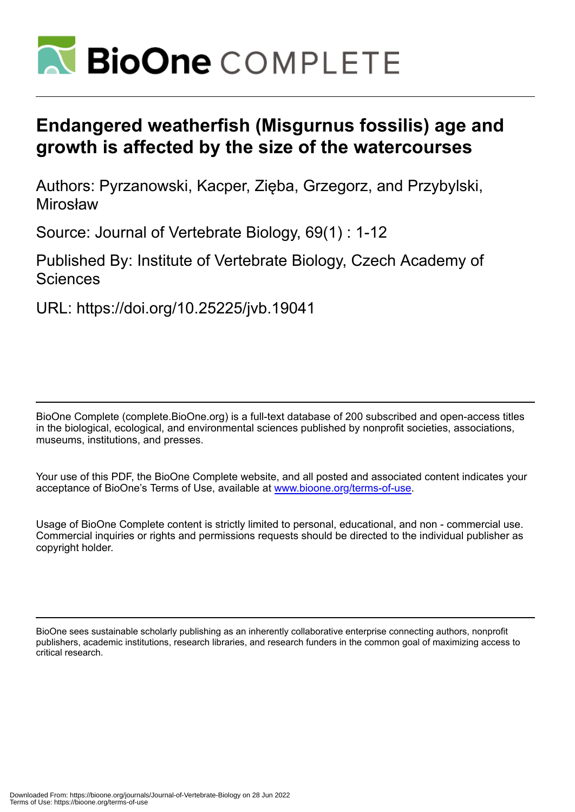

# **Endangered weatherfish (Misgurnus fossilis) age and growth is affected by the size of the watercourses**

Authors: Pyrzanowski, Kacper, Zięba, Grzegorz, and Przybylski, Mirosław

Source: Journal of Vertebrate Biology, 69(1) : 1-12

Published By: Institute of Vertebrate Biology, Czech Academy of **Sciences** 

URL: https://doi.org/10.25225/jvb.19041

BioOne Complete (complete.BioOne.org) is a full-text database of 200 subscribed and open-access titles in the biological, ecological, and environmental sciences published by nonprofit societies, associations, museums, institutions, and presses.

Your use of this PDF, the BioOne Complete website, and all posted and associated content indicates your acceptance of BioOne's Terms of Use, available at www.bioone.org/terms-of-use.

Usage of BioOne Complete content is strictly limited to personal, educational, and non - commercial use. Commercial inquiries or rights and permissions requests should be directed to the individual publisher as copyright holder.

BioOne sees sustainable scholarly publishing as an inherently collaborative enterprise connecting authors, nonprofit publishers, academic institutions, research libraries, and research funders in the common goal of maximizing access to critical research.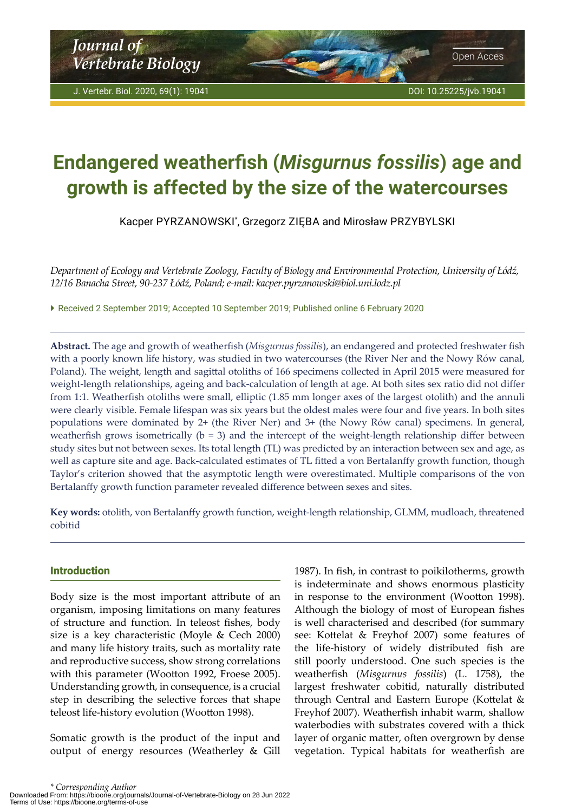# <span id="page-1-0"></span>**Endangered weatherfish (***Misgurnus fossilis***) age and growth is affected by the size of the watercourses**

Kacper PYRZANOWSKI\* , Grzegorz ZIĘBA and Mirosław PRZYBYLSKI

*Department of Ecology and Vertebrate Zoology, Faculty of Biology and Environmental Protection, University of Łódź, 12/16 Banacha Street, 90-237 Łódź, Poland; e-mail: kacper.pyrzanowski@biol.uni.lodz.pl*

 Received 2 September 2019; Accepted 10 September 2019; Published online 6 February 2020

**Abstract.** The age and growth of weatherfish (*Misgurnus fossilis*), an endangered and protected freshwater fish with a poorly known life history, was studied in two watercourses (the River Ner and the Nowy Rów canal, Poland). The weight, length and sagittal otoliths of 166 specimens collected in April 2015 were measured for weight-length relationships, ageing and back-calculation of length at age. At both sites sex ratio did not differ from 1:1. Weatherfish otoliths were small, elliptic (1.85 mm longer axes of the largest otolith) and the annuli were clearly visible. Female lifespan was six years but the oldest males were four and five years. In both sites populations were dominated by 2+ (the River Ner) and 3+ (the Nowy Rów canal) specimens. In general, weatherfish grows isometrically  $(b = 3)$  and the intercept of the weight-length relationship differ between study sites but not between sexes. Its total length (TL) was predicted by an interaction between sex and age, as well as capture site and age. Back-calculated estimates of TL fitted a von Bertalanffy growth function, though Taylor's criterion showed that the asymptotic length were overestimated. Multiple comparisons of the von Bertalanffy growth function parameter revealed difference between sexes and sites.

**Key words:** otolith, von Bertalanffy growth function, weight-length relationship, GLMM, mudloach, threatened cobitid

# Introduction

Body size is the most important attribute of an organism, imposing limitations on many features of structure and function. In teleost fishes, body size is a key characteristic (Moyle & Cech 2000) and many life history traits, such as mortality rate and reproductive success, show strong correlations with this parameter (Wootton 1992, Froese 2005). Understanding growth, in consequence, is a crucial step in describing the selective forces that shape teleost life-history evolution (Wootton 1998).

Somatic growth is the product of the input and output of energy resources (Weatherley & Gill 1987). In fish, in contrast to poikilotherms, growth is indeterminate and shows enormous plasticity in response to the environment (Wootton 1998). Although the biology of most of European fishes is well characterised and described (for summary see: Kottelat & Freyhof 2007) some features of the life-history of widely distributed fish are still poorly understood. One such species is the weatherfish (*Misgurnus fossilis*) (L. 1758), the largest freshwater cobitid, naturally distributed through Central and Eastern Europe (Kottelat & Freyhof 2007). Weatherfish inhabit warm, shallow waterbodies with substrates covered with a thick layer of organic matter, often overgrown by dense vegetation. Typical habitats for weatherfish are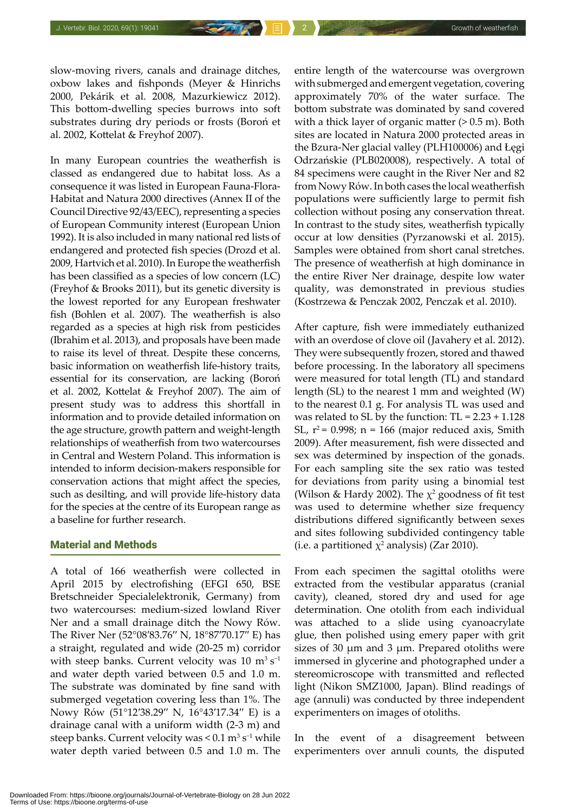slow-moving rivers, canals and drainage ditches, oxbow lakes and fishponds (Meyer & Hinrichs 2000, Pekárik et al. 2008, Mazurkiewicz 2012). This bottom-dwelling species burrows into soft substrates during dry periods or frosts (Boroń et al. 2002, Kottelat & Freyhof 2007).

In many European countries the weatherfish is classed as endangered due to habitat loss. As a consequence it was listed in European Fauna-Flora-Habitat and Natura 2000 directives (Annex II of the Council Directive 92/43/EEC), representing a species of European Community interest (European Union 1992). It is also included in many national red lists of endangered and protected fish species (Drozd et al. 2009, Hartvich et al. 2010). In Europe the weatherfish has been classified as a species of low concern (LC) (Freyhof & Brooks 2011), but its genetic diversity is the lowest reported for any European freshwater fish (Bohlen et al. 2007). The weatherfish is also regarded as a species at high risk from pesticides (Ibrahim et al. 2013), and proposals have been made to raise its level of threat. Despite these concerns, basic information on weatherfish life-history traits, essential for its conservation, are lacking (Boroń et al. 2002, Kottelat & Freyhof 2007). The aim of present study was to address this shortfall in information and to provide detailed information on the age structure, growth pattern and weight-length relationships of weatherfish from two watercourses in Central and Western Poland. This information is intended to inform decision-makers responsible for conservation actions that might affect the species, such as desilting, and will provide life-history data for the species at the centre of its European range as a baseline for further research.

# Material and Methods

A total of 166 weatherfish were collected in April 2015 by electrofishing (EFGI 650, BSE Bretschneider Specialelektronik, Germany) from two watercourses: medium-sized lowland River Ner and a small drainage ditch the Nowy Rów. The River Ner (52°08′83.76′′ N, 18°87′70.17′′ E) has a straight, regulated and wide (20-25 m) corridor with steep banks. Current velocity was 10  $m<sup>3</sup> s<sup>-1</sup>$ and water depth varied between 0.5 and 1.0 m. The substrate was dominated by fine sand with submerged vegetation covering less than 1%. The Nowy Rów (51°12′38.29′′ N, 16°43′17.34′′ E) is a drainage canal with a uniform width (2-3 m) and steep banks. Current velocity was  $\leq 0.1 \text{ m}^3 \text{ s}^{-1}$  while water depth varied between 0.5 and 1.0 m. The

entire length of the watercourse was overgrown with submerged and emergent vegetation, covering approximately 70% of the water surface. The bottom substrate was dominated by sand covered with a thick layer of organic matter  $(> 0.5 \text{ m})$ . Both sites are located in Natura 2000 protected areas in the Bzura-Ner glacial valley (PLH100006) and Łęgi Odrzańskie (PLB020008), respectively. A total of 84 specimens were caught in the River Ner and 82 from Nowy Rów. In both cases the local weatherfish populations were sufficiently large to permit fish collection without posing any conservation threat. In contrast to the study sites, weatherfish typically occur at low densities (Pyrzanowski et al. 2015). Samples were obtained from short canal stretches. The presence of weatherfish at high dominance in the entire River Ner drainage, despite low water quality, was demonstrated in previous studies (Kostrzewa & Penczak 2002, Penczak et al. 2010).

After capture, fish were immediately euthanized with an overdose of clove oil (Javahery et al. 2012). They were subsequently frozen, stored and thawed before processing. In the laboratory all specimens were measured for total length (TL) and standard length (SL) to the nearest 1 mm and weighted (W) to the nearest 0.1 g. For analysis TL was used and was related to SL by the function:  $TL = 2.23 + 1.128$ SL,  $r^2$  = 0.998; n = 166 (major reduced axis, Smith 2009). After measurement, fish were dissected and sex was determined by inspection of the gonads. For each sampling site the sex ratio was tested for deviations from parity using a binomial test (Wilson & Hardy 2002). The  $\chi^2$  goodness of fit test was used to determine whether size frequency distributions differed significantly between sexes and sites following subdivided contingency table (i.e. a partitioned  $\chi^2$  analysis) (Zar 2010).

From each specimen the sagittal otoliths were extracted from the vestibular apparatus (cranial cavity), cleaned, stored dry and used for age determination. One otolith from each individual was attached to a slide using cyanoacrylate glue, then polished using emery paper with grit sizes of 30  $\mu$ m and 3  $\mu$ m. Prepared otoliths were immersed in glycerine and photographed under a stereomicroscope with transmitted and reflected light (Nikon SMZ1000, Japan). Blind readings of age (annuli) was conducted by three independent experimenters on images of otoliths.

In the event of a disagreement between experimenters over annuli counts, the disputed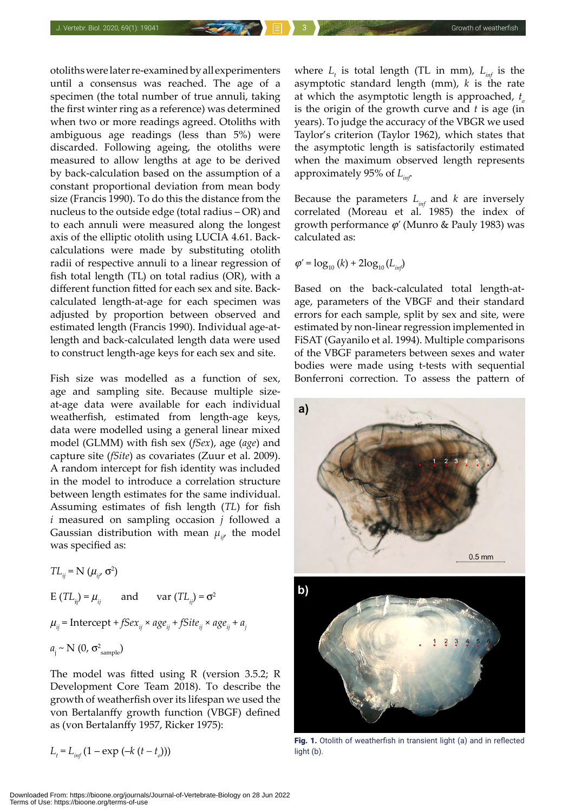otoliths were later re-examined by all experimenters until a consensus was reached. The age of a specimen (the total number of true annuli, taking the first winter ring as a reference) was determined when two or more readings agreed. Otoliths with ambiguous age readings (less than 5%) were discarded. Following ageing, the otoliths were measured to allow lengths at age to be derived by back-calculation based on the assumption of a constant proportional deviation from mean body size (Francis 1990). To do this the distance from the nucleus to the outside edge (total radius – OR) and to each annuli were measured along the longest axis of the elliptic otolith using LUCIA 4.61. Backcalculations were made by substituting otolith radii of respective annuli to a linear regression of fish total length (TL) on total radius (OR), with a different function fitted for each sex and site. Backcalculated length-at-age for each specimen was adjusted by proportion between observed and estimated length (Francis 1990). Individual age-atlength and back-calculated length data were used to construct length-age keys for each sex and site.

Fish size was modelled as a function of sex, age and sampling site. Because multiple sizeat-age data were available for each individual weatherfish, estimated from length-age keys, data were modelled using a general linear mixed model (GLMM) with fish sex (*fSex*), age (*age*) and capture site (*fSite*) as covariates (Zuur et al. 2009). A random intercept for fish identity was included in the model to introduce a correlation structure between length estimates for the same individual. Assuming estimates of fish length (*TL*) for fish *i* measured on sampling occasion *j* followed a Gaussian distribution with mean  $\mu_{ii'}$  the model was specified as:

 $TL_{ij} = N(\mu_{ij}, \sigma^2)$ E  $(TL_{ii}) = \mu_{ii}$  and var  $(TL_{ii}) = \sigma^2$  $\mu_{ij}$  = Intercept + *fSex*<sub>ij</sub> ×  $age_{ij}$  + *fSite*<sub>ij</sub> ×  $age_{ij}$  +  $a_j$  $a_i \sim N(0, \sigma_{\text{sample}}^2)$ 

The model was fitted using R (version 3.5.2; R Development Core Team 2018). To describe the growth of weatherfish over its lifespan we used the von Bertalanffy growth function (VBGF) defined as (von Bertalanffy 1957, Ricker 1975):

$$
L_{t} = L_{inf} (1 - \exp(-kt_{t} - t_{o})))
$$

where  $L_{t}$  is total length (TL in mm),  $L_{inf}$  is the asymptotic standard length (mm), *k* is the rate at which the asymptotic length is approached,  $t_a$ is the origin of the growth curve and *t* is age (in years). To judge the accuracy of the VBGR we used Taylor's criterion (Taylor 1962), which states that the asymptotic length is satisfactorily estimated when the maximum observed length represents approximately 95% of *Linf*.

Because the parameters *Linf* and *k* are inversely correlated (Moreau et al. 1985) the index of growth performance  $\varphi'$  (Munro & Pauly 1983) was calculated as:

$$
\varphi' = \log_{10}{(k)} + 2\log_{10}{(L_{inf})}
$$

Based on the back-calculated total length-atage, parameters of the VBGF and their standard errors for each sample, split by sex and site, were estimated by non-linear regression implemented in FiSAT (Gayanilo et al. 1994). Multiple comparisons of the VBGF parameters between sexes and water bodies were made using t-tests with sequential Bonferroni correction. To assess the pattern of



Fig. 1. Otolith of weatherfish in transient light (a) and in reflected light (b).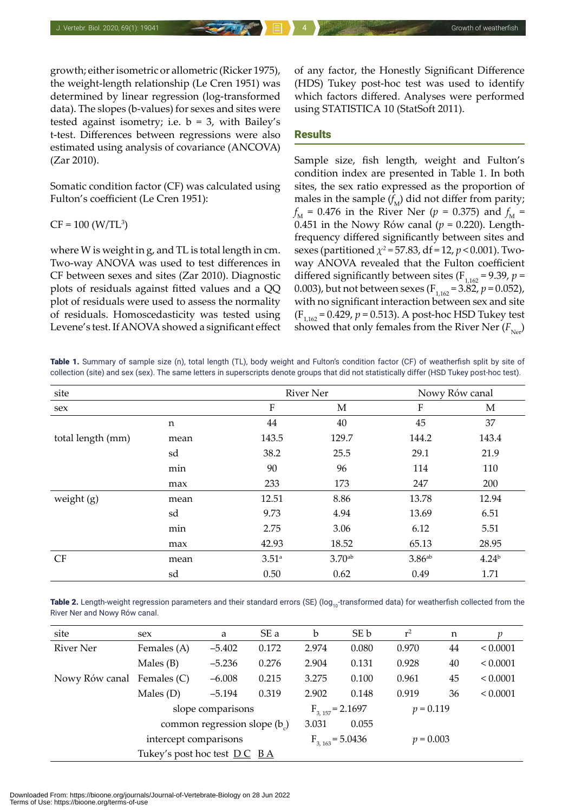growth; either isometric or allometric (Ricker 1975), the weight-length relationship (Le Cren 1951) was determined by linear regression (log-transformed data). The slopes (b-values) for sexes and sites were tested against isometry; i.e.  $b = 3$ , with Bailey's t-test. Differences between regressions were also estimated using analysis of covariance (ANCOVA) (Zar 2010).

Somatic condition factor (CF) was calculated using Fulton's coefficient (Le Cren 1951):

 $CF = 100 (W/TL<sup>3</sup>)$ 

where W is weight in g, and TL is total length in cm. Two-way ANOVA was used to test differences in CF between sexes and sites (Zar 2010). Diagnostic plots of residuals against fitted values and a QQ plot of residuals were used to assess the normality of residuals. Homoscedasticity was tested using Levene's test. If ANOVA showed a significant effect of any factor, the Honestly Significant Difference (HDS) Tukey post-hoc test was used to identify which factors differed. Analyses were performed using STATISTICA 10 (StatSoft 2011).

# Results

Sample size, fish length, weight and Fulton's condition index are presented in Table 1. In both sites, the sex ratio expressed as the proportion of males in the sample  $(f<sub>M</sub>)$  did not differ from parity;  $f_{\rm M}$  = 0.476 in the River Ner ( $p$  = 0.375) and  $f_{\rm M}$  = 0.451 in the Nowy Rów canal ( $p = 0.220$ ). Lengthfrequency differed significantly between sites and sexes (partitioned *χ<sup>2</sup> =* 57.83, df = 12, *p* < 0.001). Twoway ANOVA revealed that the Fulton coefficient differed significantly between sites ( $F_{1,162} = 9.39$ ,  $p =$ 0.003), but not between sexes ( $F_{1,162} = 3.82$ ,  $p = 0.052$ ), with no significant interaction between sex and site  $(F_{1162} = 0.429, p = 0.513)$ . A post-hoc HSD Tukey test showed that only females from the River Ner  $(F_{\text{Ner}})$ 

Table 1. Summary of sample size (n), total length (TL), body weight and Fulton's condition factor (CF) of weatherfish split by site of collection (site) and sex (sex). The same letters in superscripts denote groups that did not statistically differ (HSD Tukey post-hoc test).

| site              |      | <b>River Ner</b>    |                    | Nowy Rów canal       |            |  |  |
|-------------------|------|---------------------|--------------------|----------------------|------------|--|--|
| sex               |      | ${\bf F}$           | М                  | F                    | М          |  |  |
|                   | n    | 44                  | 40                 | 45                   | 37         |  |  |
| total length (mm) | mean | 143.5               | 129.7              | 144.2                | 143.4      |  |  |
|                   | sd   | 38.2                | 25.5               | 29.1                 | 21.9       |  |  |
|                   | min  | 90                  | 96                 | 114                  | 110        |  |  |
|                   | max  | 233                 | 173                | 247                  | 200        |  |  |
| weight (g)        | mean | 12.51               | 8.86               | 13.78                | 12.94      |  |  |
|                   | sd   | 9.73                | 4.94               | 13.69                | 6.51       |  |  |
|                   | min  | 2.75                | 3.06               | 6.12                 | 5.51       |  |  |
|                   | max  | 42.93               | 18.52              | 65.13                | 28.95      |  |  |
| CF                | mean | $3.51$ <sup>a</sup> | 3.70 <sup>ab</sup> | $3.86$ <sup>ab</sup> | $4.24^{b}$ |  |  |
|                   | sd   | 0.50                | 0.62               | 0.49                 | 1.71       |  |  |

**Table 2.** Length-weight regression parameters and their standard errors (SE) (log<sub>10</sub>-transformed data) for weatherfish collected from the River Ner and Nowy Rów canal.

| site                       | sex                   | a                           | SE a  | b                    | SE b        | $r^2$       | n  |          |
|----------------------------|-----------------------|-----------------------------|-------|----------------------|-------------|-------------|----|----------|
| River Ner                  | Females (A)           | 0.172<br>$-5.402$           |       | 2.974                | 0.080       | 0.970       | 44 | < 0.0001 |
|                            | Males $(B)$           | $-5.236$                    | 0.276 | 2.904                | 0.131       | 0.928       | 40 | < 0.0001 |
| Nowy Rów canal Females (C) |                       | $-6.008$                    | 0.215 | 3.275                | 0.100       | 0.961       | 45 | < 0.0001 |
|                            | Males $(D)$           | $-5.194$                    | 0.319 | 2.902                | 0.148       | 0.919       | 36 | < 0.0001 |
|                            |                       | slope comparisons           |       | $F_{3.157} = 2.1697$ |             | $p = 0.119$ |    |          |
|                            |                       | common regression slope (b) |       | 3.031                | 0.055       |             |    |          |
|                            | intercept comparisons |                             |       | $F_{3,163} = 5.0436$ | $p = 0.003$ |             |    |          |
|                            |                       |                             |       |                      |             |             |    |          |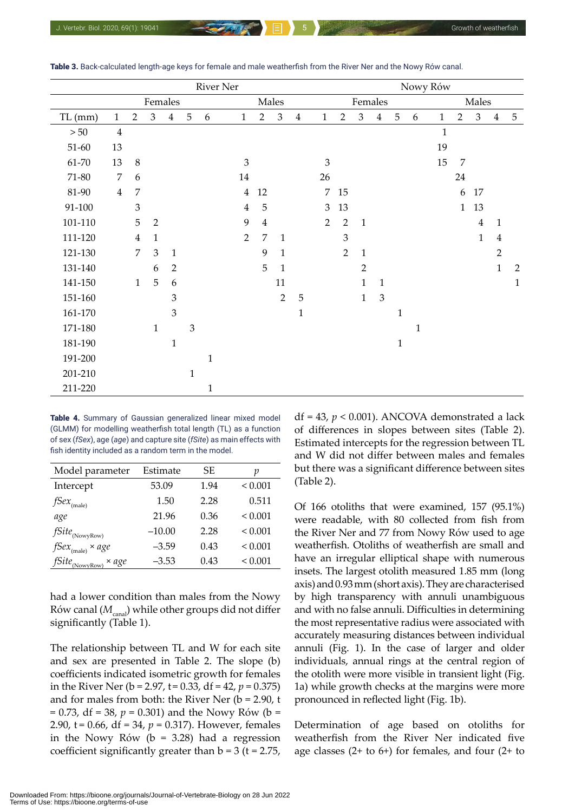|           | <b>River Ner</b> |                |                |                |                |              | Nowy Rów       |                |                             |                |                |                |                |             |              |   |              |                |                |                |                |
|-----------|------------------|----------------|----------------|----------------|----------------|--------------|----------------|----------------|-----------------------------|----------------|----------------|----------------|----------------|-------------|--------------|---|--------------|----------------|----------------|----------------|----------------|
|           |                  |                | Females        |                |                |              |                |                | Males                       |                |                |                | Females        |             |              |   |              |                | Males          |                |                |
| $TL$ (mm) | $\mathbf{1}$     | $\overline{2}$ | 3              | $\bf 4$        | $\overline{5}$ | 6            | $\mathbf{1}$   | $\overline{2}$ | $\ensuremath{\mathfrak{Z}}$ | $\overline{4}$ | 1              | $\overline{2}$ | 3              | $\bf 4$     | $\mathbf 5$  | 6 | $\mathbf{1}$ | $\overline{2}$ | $\mathfrak{Z}$ | $\overline{4}$ | $\overline{5}$ |
| $>50$     | $\overline{4}$   |                |                |                |                |              |                |                |                             |                |                |                |                |             |              |   | $\mathbf{1}$ |                |                |                |                |
| $51 - 60$ | 13               |                |                |                |                |              |                |                |                             |                |                |                |                |             |              |   | 19           |                |                |                |                |
| 61-70     | 13               | $\,8\,$        |                |                |                |              | 3              |                |                             |                | 3              |                |                |             |              |   | 15           | 7              |                |                |                |
| $71 - 80$ | $\overline{7}$   | 6              |                |                |                |              | $14\,$         |                |                             |                | 26             |                |                |             |              |   |              | 24             |                |                |                |
| 81-90     | $\overline{4}$   | $\overline{7}$ |                |                |                |              | $\overline{4}$ | 12             |                             |                | $\overline{7}$ | 15             |                |             |              |   |              | 6              | 17             |                |                |
| 91-100    |                  | $\mathfrak{Z}$ |                |                |                |              | $\overline{4}$ | $\overline{5}$ |                             |                | 3              | 13             |                |             |              |   |              | $\mathbf{1}$   | 13             |                |                |
| 101-110   |                  | 5              | $\overline{2}$ |                |                |              | 9              | $\overline{4}$ |                             |                | $\overline{2}$ | $\overline{2}$ | $1\,$          |             |              |   |              |                | $\overline{4}$ | $\mathbf{1}$   |                |
| 111-120   |                  | $\overline{4}$ | $\mathbf{1}$   |                |                |              | $\overline{2}$ | $\overline{7}$ | $\mathbf{1}$                |                |                | $\mathfrak{Z}$ |                |             |              |   |              |                | $\mathbf{1}$   | $\overline{4}$ |                |
| 121-130   |                  | $\overline{7}$ | $\mathfrak{Z}$ | $\mathbf{1}$   |                |              |                | 9              | $\mathbf{1}$                |                |                | $\overline{2}$ | $\mathbf{1}$   |             |              |   |              |                |                | $\overline{2}$ |                |
| 131-140   |                  |                | 6              | $\overline{2}$ |                |              |                | 5              | 1                           |                |                |                | $\overline{2}$ |             |              |   |              |                |                | $\mathbf{1}$   | $\overline{2}$ |
| 141-150   |                  | $\mathbf{1}$   | $\mathbf 5$    | 6              |                |              |                |                | 11                          |                |                |                | $\mathbf{1}$   | $\mathbf 1$ |              |   |              |                |                |                | $\mathbf 1$    |
| 151-160   |                  |                |                | 3              |                |              |                |                | $\overline{2}$              | $\mathbf 5$    |                |                | $\mathbf{1}$   | 3           |              |   |              |                |                |                |                |
| 161-170   |                  |                |                | 3              |                |              |                |                |                             | $\mathbf{1}$   |                |                |                |             | $\mathbf{1}$ |   |              |                |                |                |                |
| 171-180   |                  |                | $\mathbf{1}$   |                | 3              |              |                |                |                             |                |                |                |                |             |              | 1 |              |                |                |                |                |
| 181-190   |                  |                |                | $\mathbf{1}$   |                |              |                |                |                             |                |                |                |                |             | $\mathbf{1}$ |   |              |                |                |                |                |
| 191-200   |                  |                |                |                |                | $\mathbf{1}$ |                |                |                             |                |                |                |                |             |              |   |              |                |                |                |                |
| 201-210   |                  |                |                |                | $\mathbf 1$    |              |                |                |                             |                |                |                |                |             |              |   |              |                |                |                |                |
| 211-220   |                  |                |                |                |                | $\mathbf{1}$ |                |                |                             |                |                |                |                |             |              |   |              |                |                |                |                |

Table 3. Back-calculated length-age keys for female and male weatherfish from the River Ner and the Nowy Rów canal.

Table 4. Summary of Gaussian generalized linear mixed model (GLMM) for modelling weatherfish total length (TL) as a function of sex (*fSex*), age (*age*) and capture site (*fSite*) as main effects with fish identity included as a random term in the model.

| Model parameter                   | Estimate | SЕ   |              |
|-----------------------------------|----------|------|--------------|
| Intercept                         | 53.09    | 1.94 | ${}_{0.001}$ |
| $f$ Se $x$ <sub>(male)</sub>      | 1.50     | 2.28 | 0.511        |
| age                               | 21.96    | 0.36 | ${}_{0.001}$ |
| $f\!Site_{_{(\textrm{NowyRow})}}$ | $-10.00$ | 2.28 | ${}_{0.001}$ |
| $fSex_{(male)} \times age$        | $-3.59$  | 0.43 | ${}_{0.001}$ |
| $fSite_{(NowyRow)}$<br>× age      | $-3.53$  | 0.43 | ${}_{0.001}$ |

had a lower condition than males from the Nowy Rów canal ( $M_{\text{cand}}$ ) while other groups did not differ significantly (Table 1).

The relationship between TL and W for each site and sex are presented in Table 2. The slope (b) coefficients indicated isometric growth for females in the River Ner (b = 2.97, t = 0.33, df = 42, *p* = 0.375) and for males from both: the River Ner ( $b = 2.90$ , t = 0.73, df = 38, *p* = 0.301) and the Nowy Rów (b = 2.90, t = 0.66, df = 34, *p* = 0.317). However, females in the Nowy Rów  $(b = 3.28)$  had a regression coefficient significantly greater than  $b = 3$  ( $t = 2.75$ ,

df = 43, *p* < 0.001). ANCOVA demonstrated a lack of differences in slopes between sites (Table 2). Estimated intercepts for the regression between TL and W did not differ between males and females but there was a significant difference between sites (Table 2).

Of 166 otoliths that were examined, 157 (95.1%) were readable, with 80 collected from fish from the River Ner and 77 from Nowy Rów used to age weatherfish. Otoliths of weatherfish are small and have an irregular elliptical shape with numerous insets. The largest otolith measured 1.85 mm (long axis) and 0.93 mm (short axis). They are characterised by high transparency with annuli unambiguous and with no false annuli. Difficulties in determining the most representative radius were associated with accurately measuring distances between individual annuli (Fig. 1). In the case of larger and older individuals, annual rings at the central region of the otolith were more visible in transient light (Fig. 1a) while growth checks at the margins were more pronounced in reflected light (Fig. 1b).

Determination of age based on otoliths for weatherfish from the River Ner indicated five age classes (2+ to 6+) for females, and four (2+ to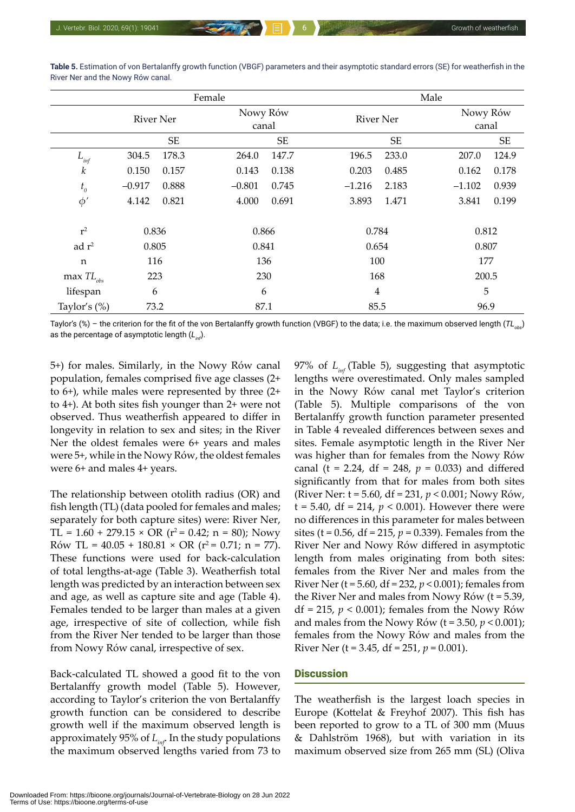|                                   |                  |                            | Female   |           |          | Male             |  |           |                   |  |  |  |
|-----------------------------------|------------------|----------------------------|----------|-----------|----------|------------------|--|-----------|-------------------|--|--|--|
|                                   | <b>River Ner</b> |                            | Nowy Rów | canal     |          | <b>River Ner</b> |  |           | Nowy Rów<br>canal |  |  |  |
|                                   |                  | $\ensuremath{\mathsf{SE}}$ |          | <b>SE</b> |          |                  |  | <b>SE</b> |                   |  |  |  |
| $L_{_{inf}}$                      | 304.5            | 178.3                      | 264.0    | 147.7     | 196.5    | 233.0            |  | 207.0     | 124.9             |  |  |  |
| $\boldsymbol{k}$                  | 0.150            | 0.157                      | 0.143    | 0.138     | 0.203    | 0.485            |  | 0.162     | 0.178             |  |  |  |
| $t_{o}$                           | $-0.917$         | 0.888                      | $-0.801$ | 0.745     | $-1.216$ | 2.183            |  | $-1.102$  | 0.939             |  |  |  |
| $\phi'$                           | 4.142            | 0.821                      | 4.000    | 0.691     | 3.893    | 1.471            |  | 3.841     | 0.199             |  |  |  |
| $r^2$                             | 0.836            |                            | 0.866    |           | 0.784    |                  |  | 0.812     |                   |  |  |  |
| ad $r^2$                          | 0.805            |                            |          | 0.841     |          | 0.654            |  |           | 0.807             |  |  |  |
| $\mathbf n$                       | 116              |                            |          | 136       |          | 100              |  |           | 177               |  |  |  |
| max $TL_{\scriptscriptstyle obs}$ | 223              |                            |          | 230       |          | 168              |  | 200.5     |                   |  |  |  |
| lifespan                          | 6                |                            |          | 6         |          | $\overline{4}$   |  |           | 5                 |  |  |  |
| Taylor's $(\%)$                   | 73.2             |                            |          | 87.1      |          | 85.5             |  |           | 96.9              |  |  |  |

**Table 5.** Estimation of von Bertalanffy growth function (VBGF) parameters and their asymptotic standard errors (SE) for weatherfish in the River Ner and the Nowy Rów canal.

Taylor's (%) – the criterion for the fit of the von Bertalanffy growth function (VBGF) to the data; i.e. the maximum observed length (*TL*<sub>oba</sub>) as the percentage of asymptotic length (*Linf*).

5+) for males. Similarly, in the Nowy Rów canal population, females comprised five age classes (2+ to 6+), while males were represented by three (2+ to 4+). At both sites fish younger than 2+ were not observed. Thus weatherfish appeared to differ in longevity in relation to sex and sites; in the River Ner the oldest females were 6+ years and males were 5+, while in the Nowy Rów, the oldest females were 6+ and males 4+ years.

The relationship between otolith radius (OR) and fish length (TL) (data pooled for females and males; separately for both capture sites) were: River Ner, TL =  $1.60 + 279.15 \times \text{OR}$  (r<sup>2</sup> = 0.42; n = 80); Nowy Rów TL =  $40.05 + 180.81 \times \text{OR}$  (r<sup>2</sup> = 0.71; n = 77). These functions were used for back-calculation of total lengths-at-age (Table 3). Weatherfish total length was predicted by an interaction between sex and age, as well as capture site and age (Table 4). Females tended to be larger than males at a given age, irrespective of site of collection, while fish from the River Ner tended to be larger than those from Nowy Rów canal, irrespective of sex.

Back-calculated TL showed a good fit to the von Bertalanffy growth model (Table 5). However, according to Taylor's criterion the von Bertalanffy growth function can be considered to describe growth well if the maximum observed length is approximately 95% of *Linf*. In the study populations the maximum observed lengths varied from 73 to

97% of  $L_{inf}$  (Table 5), suggesting that asymptotic lengths were overestimated. Only males sampled in the Nowy Rów canal met Taylor's criterion (Table 5). Multiple comparisons of the von Bertalanffy growth function parameter presented in Table 4 revealed differences between sexes and sites. Female asymptotic length in the River Ner was higher than for females from the Nowy Rów canal (t = 2.24, df = 248,  $p = 0.033$ ) and differed significantly from that for males from both sites (River Ner: t = 5.60, df = 231, *p* < 0.001; Nowy Rów, t = 5.40, df = 214,  $p < 0.001$ ). However there were no differences in this parameter for males between sites (t = 0.56, df = 215, *p* = 0.339). Females from the River Ner and Nowy Rów differed in asymptotic length from males originating from both sites: females from the River Ner and males from the River Ner (t = 5.60, df = 232, *p* < 0.001); females from the River Ner and males from Nowy Rów (t = 5.39, df = 215,  $p < 0.001$ ); females from the Nowy Rów and males from the Nowy Rów ( $t = 3.50$ ,  $p < 0.001$ ); females from the Nowy Rów and males from the River Ner (t = 3.45, df = 251, *p* = 0.001).

#### **Discussion**

The weatherfish is the largest loach species in Europe (Kottelat & Freyhof 2007). This fish has been reported to grow to a TL of 300 mm (Muus & Dahlström 1968), but with variation in its maximum observed size from 265 mm (SL) (Oliva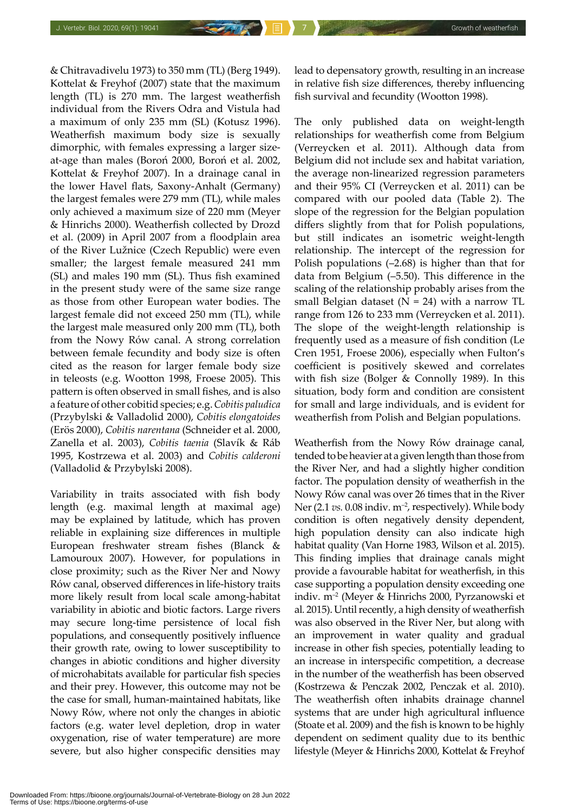& Chitravadivelu 1973) to 350 mm (TL) (Berg 1949). Kottelat & Freyhof (2007) state that the maximum length (TL) is 270 mm. The largest weatherfish individual from the Rivers Odra and Vistula had a maximum of only 235 mm (SL) (Kotusz 1996). Weatherfish maximum body size is sexually dimorphic, with females expressing a larger sizeat-age than males (Boroń 2000, Boroń et al. 2002, Kottelat & Freyhof 2007). In a drainage canal in the lower Havel flats, Saxony-Anhalt (Germany) the largest females were 279 mm (TL), while males only achieved a maximum size of 220 mm (Meyer & Hinrichs 2000). Weatherfish collected by Drozd et al. (2009) in April 2007 from a floodplain area of the River Lužnice (Czech Republic) were even smaller; the largest female measured 241 mm (SL) and males 190 mm (SL). Thus fish examined in the present study were of the same size range as those from other European water bodies. The largest female did not exceed 250 mm (TL), while the largest male measured only 200 mm (TL), both from the Nowy Rów canal. A strong correlation between female fecundity and body size is often cited as the reason for larger female body size in teleosts (e.g. Wootton 1998, Froese 2005). This pattern is often observed in small fishes, and is also a feature of other cobitid species; e.g. *Cobitis paludica* (Przybylski & Valladolid 2000), *Cobitis elongatoides* (Erös 2000), *Cobitis narentana* (Schneider et al. 2000, Zanella et al. 2003), *Cobitis taenia* (Slavík & Ráb 1995, Kostrzewa et al. 2003) and *Cobitis calderoni*  (Valladolid & Przybylski 2008).

Variability in traits associated with fish body length (e.g. maximal length at maximal age) may be explained by latitude, which has proven reliable in explaining size differences in multiple European freshwater stream fishes (Blanck & Lamouroux 2007). However, for populations in close proximity; such as the River Ner and Nowy Rów canal, observed differences in life-history traits more likely result from local scale among-habitat variability in abiotic and biotic factors. Large rivers may secure long-time persistence of local fish populations, and consequently positively influence their growth rate, owing to lower susceptibility to changes in abiotic conditions and higher diversity of microhabitats available for particular fish species and their prey. However, this outcome may not be the case for small, human-maintained habitats, like Nowy Rów, where not only the changes in abiotic factors (e.g. water level depletion, drop in water oxygenation, rise of water temperature) are more severe, but also higher conspecific densities may

lead to depensatory growth, resulting in an increase in relative fish size differences, thereby influencing fish survival and fecundity (Wootton 1998).

The only published data on weight-length relationships for weatherfish come from Belgium (Verreycken et al. 2011). Although data from Belgium did not include sex and habitat variation, the average non-linearized regression parameters and their 95% CI (Verreycken et al. 2011) can be compared with our pooled data (Table 2). The slope of the regression for the Belgian population differs slightly from that for Polish populations, but still indicates an isometric weight-length relationship. The intercept of the regression for Polish populations (–2.68) is higher than that for data from Belgium (–5.50). This difference in the scaling of the relationship probably arises from the small Belgian dataset ( $N = 24$ ) with a narrow TL range from 126 to 233 mm (Verreycken et al. 2011). The slope of the weight-length relationship is frequently used as a measure of fish condition (Le Cren 1951, Froese 2006), especially when Fulton's coefficient is positively skewed and correlates with fish size (Bolger & Connolly 1989). In this situation, body form and condition are consistent for small and large individuals, and is evident for weatherfish from Polish and Belgian populations.

Weatherfish from the Nowy Rów drainage canal, tended to be heavier at a given length than those from the River Ner, and had a slightly higher condition factor. The population density of weatherfish in the Nowy Rów canal was over 26 times that in the River Ner (2.1 *vs.* 0.08 indiv. m<sup>-2</sup>, respectively). While body condition is often negatively density dependent, high population density can also indicate high habitat quality (Van Horne 1983, Wilson et al. 2015). This finding implies that drainage canals might provide a favourable habitat for weatherfish, in this case supporting a population density exceeding one indiv. m–2 (Meyer & Hinrichs 2000, Pyrzanowski et al*.* 2015). Until recently, a high density of weatherfish was also observed in the River Ner, but along with an improvement in water quality and gradual increase in other fish species, potentially leading to an increase in interspecific competition, a decrease in the number of the weatherfish has been observed (Kostrzewa & Penczak 2002, Penczak et al. 2010). The weatherfish often inhabits drainage channel systems that are under high agricultural influence (Stoate et al. 2009) and the fish is known to be highly dependent on sediment quality due to its benthic lifestyle (Meyer & Hinrichs 2000, Kottelat & Freyhof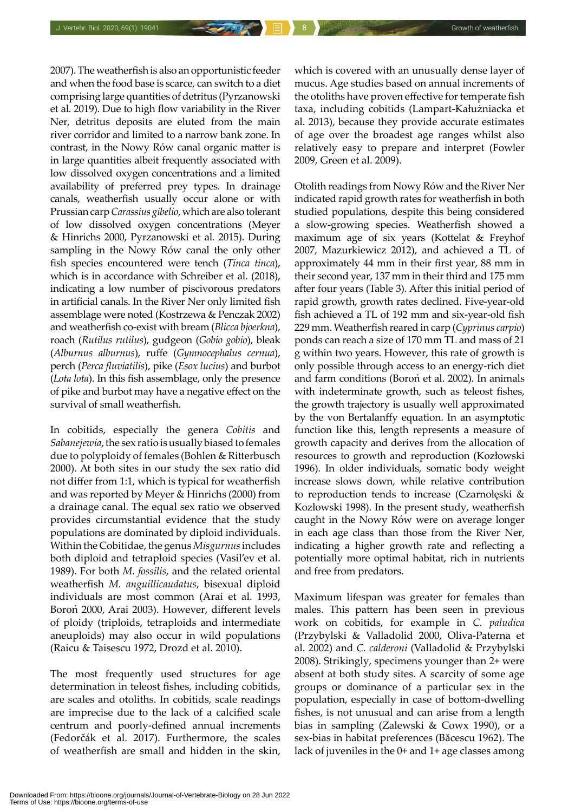2007). The weatherfish is also an opportunistic feeder and when the food base is scarce, can switch to a diet comprising large quantities of detritus (Pyrzanowski et al*.* 2019). Due to high flow variability in the River Ner, detritus deposits are eluted from the main river corridor and limited to a narrow bank zone. In contrast, in the Nowy Rów canal organic matter is in large quantities albeit frequently associated with low dissolved oxygen concentrations and a limited availability of preferred prey types*.* In drainage canals, weatherfish usually occur alone or with Prussian carp *Carassius gibelio*, which are also tolerant of low dissolved oxygen concentrations (Meyer & Hinrichs 2000, Pyrzanowski et al*.* 2015). During sampling in the Nowy Rów canal the only other fish species encountered were tench (*Tinca tinca*), which is in accordance with Schreiber et al. (2018), indicating a low number of piscivorous predators in artificial canals. In the River Ner only limited fish assemblage were noted (Kostrzewa & Penczak 2002) and weatherfish co-exist with bream (*Blicca bjoerkna*), roach (*Rutilus rutilus*), gudgeon (*Gobio gobio*), bleak (*Alburnus alburnus*), ruffe (*Gymnocephalus cernua*), perch (*Perca fluviatilis*), pike (*Esox lucius*) and burbot (*Lota lota*). In this fish assemblage, only the presence of pike and burbot may have a negative effect on the survival of small weatherfish.

In cobitids, especially the genera *Cobitis* and *Sabanejewia*, the sex ratio is usually biased to females due to polyploidy of females (Bohlen & Ritterbusch 2000). At both sites in our study the sex ratio did not differ from 1:1, which is typical for weatherfish and was reported by Meyer & Hinrichs (2000) from a drainage canal. The equal sex ratio we observed provides circumstantial evidence that the study populations are dominated by diploid individuals. Within the Cobitidae, the genus *Misgurnus* includes both diploid and tetraploid species (Vasil'ev et al. 1989). For both *M. fossilis*, and the related oriental weatherfish *M. anguillicaudatus*, bisexual diploid individuals are most common (Arai et al. 1993, Boroń 2000, Arai 2003). However, different levels of ploidy (triploids, tetraploids and intermediate aneuploids) may also occur in wild populations (Raicu & Taisescu 1972, Drozd et al. 2010).

The most frequently used structures for age determination in teleost fishes, including cobitids, are scales and otoliths. In cobitids, scale readings are imprecise due to the lack of a calcified scale centrum and poorly-defined annual increments (Fedorčák et al. 2017). Furthermore, the scales of weatherfish are small and hidden in the skin,

which is covered with an unusually dense layer of mucus. Age studies based on annual increments of the otoliths have proven effective for temperate fish taxa, including cobitids (Lampart-Kałużniacka et al. 2013), because they provide accurate estimates of age over the broadest age ranges whilst also relatively easy to prepare and interpret (Fowler 2009, Green et al. 2009).

Otolith readings from Nowy Rów and the River Ner indicated rapid growth rates for weatherfish in both studied populations, despite this being considered a slow-growing species. Weatherfish showed a maximum age of six years (Kottelat & Freyhof 2007, Mazurkiewicz 2012), and achieved a TL of approximately 44 mm in their first year, 88 mm in their second year, 137 mm in their third and 175 mm after four years (Table 3). After this initial period of rapid growth, growth rates declined. Five-year-old fish achieved a TL of 192 mm and six-year-old fish 229 mm. Weatherfish reared in carp (*Cyprinus carpio*) ponds can reach a size of 170 mm TL and mass of 21 g within two years. However, this rate of growth is only possible through access to an energy-rich diet and farm conditions (Boroń et al. 2002). In animals with indeterminate growth, such as teleost fishes, the growth trajectory is usually well approximated by the von Bertalanffy equation. In an asymptotic function like this, length represents a measure of growth capacity and derives from the allocation of resources to growth and reproduction (Kozłowski 1996). In older individuals, somatic body weight increase slows down, while relative contribution to reproduction tends to increase (Czarnołęski & Kozłowski 1998). In the present study, weatherfish caught in the Nowy Rów were on average longer in each age class than those from the River Ner, indicating a higher growth rate and reflecting a potentially more optimal habitat, rich in nutrients and free from predators.

Maximum lifespan was greater for females than males. This pattern has been seen in previous work on cobitids, for example in *C. paludica* (Przybylski & Valladolid 2000, Oliva-Paterna et al. 2002) and *C. calderoni* (Valladolid & Przybylski 2008). Strikingly, specimens younger than 2+ were absent at both study sites. A scarcity of some age groups or dominance of a particular sex in the population, especially in case of bottom-dwelling fishes, is not unusual and can arise from a length bias in sampling (Zalewski & Cowx 1990), or a sex-bias in habitat preferences (Băcescu 1962). The lack of juveniles in the 0+ and 1+ age classes among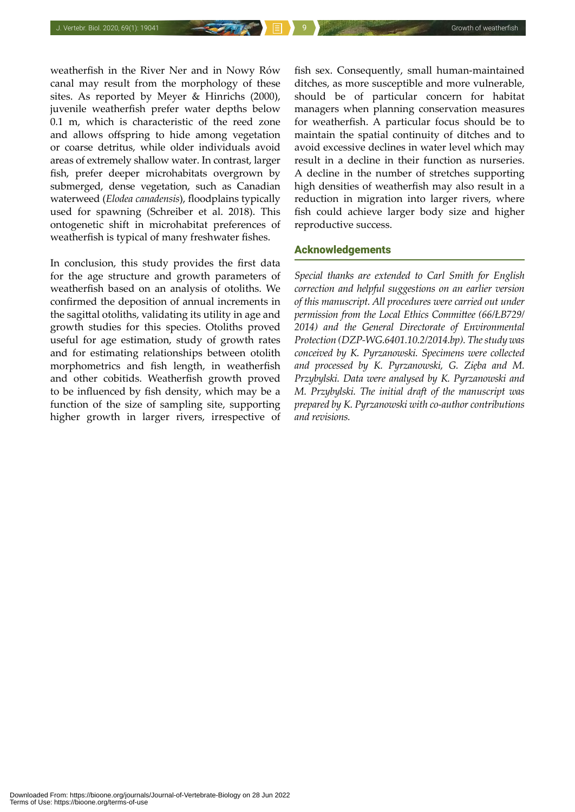weatherfish in the River Ner and in Nowy Rów canal may result from the morphology of these sites. As reported by Meyer & Hinrichs (2000), juvenile weatherfish prefer water depths below 0.1 m, which is characteristic of the reed zone and allows offspring to hide among vegetation or coarse detritus, while older individuals avoid areas of extremely shallow water. In contrast, larger fish, prefer deeper microhabitats overgrown by submerged, dense vegetation, such as Canadian waterweed (*Elodea canadensis*), floodplains typically used for spawning (Schreiber et al. 2018). This ontogenetic shift in microhabitat preferences of weatherfish is typical of many freshwater fishes.

In conclusion, this study provides the first data for the age structure and growth parameters of weatherfish based on an analysis of otoliths. We confirmed the deposition of annual increments in the sagittal otoliths, validating its utility in age and growth studies for this species. Otoliths proved useful for age estimation, study of growth rates and for estimating relationships between otolith morphometrics and fish length, in weatherfish and other cobitids. Weatherfish growth proved to be influenced by fish density, which may be a function of the size of sampling site, supporting higher growth in larger rivers, irrespective of

fish sex. Consequently, small human-maintained ditches, as more susceptible and more vulnerable, should be of particular concern for habitat managers when planning conservation measures for weatherfish. A particular focus should be to maintain the spatial continuity of ditches and to avoid excessive declines in water level which may result in a decline in their function as nurseries. A decline in the number of stretches supporting high densities of weatherfish may also result in a reduction in migration into larger rivers, where fish could achieve larger body size and higher reproductive success.

# Acknowledgements

*Special thanks are extended to Carl Smith for English correction and helpful suggestions on an earlier version of this manuscript. All procedures were carried out under permission from the Local Ethics Committee (66/ŁB729/ 2014) and the General Directorate of Environmental Protection (DZP-WG.6401.10.2/2014.bp). The study was conceived by K. Pyrzanowski. Specimens were collected and processed by K. Pyrzanowski, G. Zięba and M. Przybylski. Data were analysed by K. Pyrzanowski and M. Przybylski. The initial draft of the manuscript was prepared by K. Pyrzanowski with co-author contributions and revisions.*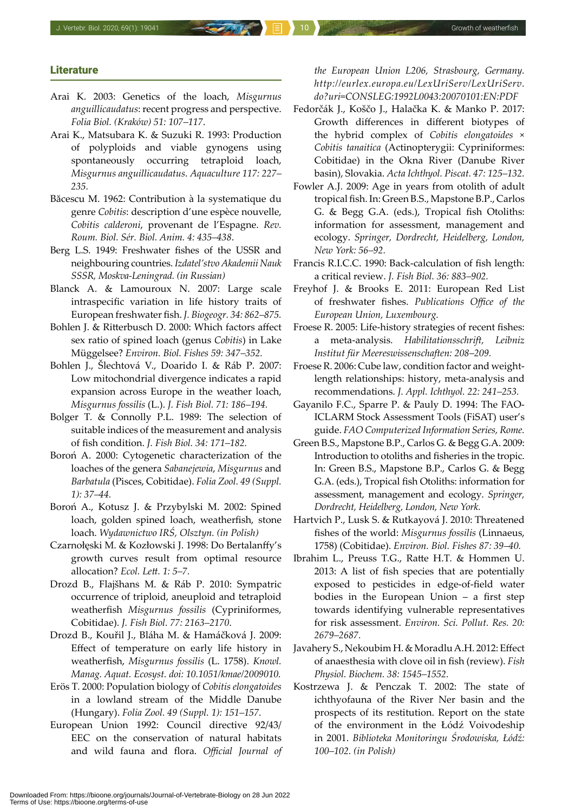#### **Literature**

- Arai K. 2003: Genetics of the loach, *Misgurnus anguillicaudatus*: recent progress and perspective. *Folia Biol. (Kraków) 51: 107–117*.
- Arai K., Matsubara K. & Suzuki R. 1993: Production of polyploids and viable gynogens using spontaneously occurring tetraploid loach, *Misgurnus anguillicaudatus*. *Aquaculture 117: 227– 235.*
- Băcescu M. 1962: Contribution à la systematique du genre *Cobitis*: description d'une espèce nouvelle, *Cobitis calderoni*, provenant de l'Espagne. *Rev. Roum. Biol. Sér. Biol. Anim. 4: 435–438*.
- Berg L.S. 1949: Freshwater fishes of the USSR and neighbouring countries. *Izdatel'stvo Akademii Nauk SSSR, Moskva-Leningrad. (in Russian)*
- Blanck A. & Lamouroux N. 2007: Large scale intraspecific variation in life history traits of European freshwater fish. *J. Biogeogr. 34: 862–875.*
- Bohlen J. & Ritterbusch D. 2000: Which factors affect sex ratio of spined loach (genus *Cobitis*) in Lake Müggelsee? *Environ. Biol. Fishes 59: 347–352.*
- Bohlen J., Šlechtová V., Doarido I. & Ráb P. 2007: Low mitochondrial divergence indicates a rapid expansion across Europe in the weather loach, *Misgurnus fossilis* (L.). *J. Fish Biol. 71: 186–194.*
- Bolger T. & Connolly P.L. 1989: The selection of suitable indices of the measurement and analysis of fish condition. *J. Fish Biol. 34: 171–182.*
- Boroń A. 2000: Cytogenetic characterization of the loaches of the genera *Sabanejewia*, *Misgurnus* and *Barbatula* (Pisces, Cobitidae). *Folia Zool. 49 (Suppl. 1): 37–44.*
- Boroń A., Kotusz J. & Przybylski M. 2002: Spined loach, golden spined loach, weatherfish, stone loach. *Wydawnictwo IRŚ, Olsztyn. (in Polish)*
- Czarnołęski M. & Kozłowski J. 1998: Do Bertalanffy's growth curves result from optimal resource allocation? *Ecol. Lett. 1: 5–7.*
- Drozd B., Flajšhans M. & Ráb P. 2010: Sympatric occurrence of triploid, aneuploid and tetraploid weatherfish *Misgurnus fossilis* (Cypriniformes, Cobitidae). *J. Fish Biol. 77: 2163–2170*.
- Drozd B., Kouřil J., Bláha M. & Hamáčková J. 2009: Effect of temperature on early life history in weatherfish, *Misgurnus fossilis* (L. 1758). *Knowl. Manag. Aquat. Ecosyst. doi: 10.1051/kmae/2009010.*
- Erös T. 2000: Population biology of *Cobitis elongatoides*  in a lowland stream of the Middle Danube (Hungary). *Folia Zool. 49 (Suppl. 1): 151–157.*
- European Union 1992: Council directive 92/43/ EEC on the conservation of natural habitats and wild fauna and flora. *Official Journal of*

*the European Union L206, Strasbourg, Germany. http://eurlex.europa.eu/LexUriServ/LexUriServ. do?uri=CONSLEG:1992L0043:20070101:EN:PDF*

- Fedorčák J., Koščo J., Halačka K. & Manko P. 2017: Growth differences in different biotypes of the hybrid complex of *Cobitis elongatoides* × *Cobitis tanaitica* (Actinopterygii: Cypriniformes: Cobitidae) in the Okna River (Danube River basin), Slovakia. *Acta Ichthyol. Piscat. 47: 125–132.*
- Fowler A.J. 2009: Age in years from otolith of adult tropical fish. In: Green B.S., Mapstone B.P., Carlos G. & Begg G.A. (eds.), Tropical fish Otoliths: information for assessment, management and ecology. *Springer, Dordrecht, Heidelberg, London, New York: 56–92.*
- Francis R.I.C.C. 1990: Back-calculation of fish length: a critical review. *J. Fish Biol. 36: 883–902.*
- Freyhof J. & Brooks E. 2011: European Red List of freshwater fishes. *Publications Office of the European Union, Luxembourg.*
- Froese R. 2005: Life-history strategies of recent fishes: a meta-analysis. *Habilitationsschrift, Leibniz Institut für Meereswissenschaften: 208–209.*
- Froese R. 2006: Cube law, condition factor and weightlength relationships: history, meta-analysis and recommendations. *J. Appl. Ichthyol. 22: 241–253.*
- Gayanilo F.C., Sparre P. & Pauly D. 1994: The FAO-ICLARM Stock Assessment Tools (FiSAT) user's guide. *FAO Computerized Information Series, Rome.*
- Green B.S., Mapstone B.P., Carlos G. & Begg G.A. 2009: Introduction to otoliths and fisheries in the tropic. In: Green B.S., Mapstone B.P., Carlos G. & Begg G.A. (eds.), Tropical fish Otoliths: information for assessment, management and ecology. *Springer, Dordrecht, Heidelberg, London, New York.*
- Hartvich P., Lusk S. & Rutkayová J. 2010: Threatened fishes of the world: *Misgurnus fossilis* (Linnaeus, 1758) (Cobitidae). *Environ. Biol. Fishes 87: 39–40.*
- Ibrahim L., Preuss T.G., Ratte H.T. & Hommen U. 2013: A list of fish species that are potentially exposed to pesticides in edge-of-field water bodies in the European Union – a first step towards identifying vulnerable representatives for risk assessment. *Environ. Sci. Pollut. Res. 20: 2679–2687.*
- Javahery S., Nekoubim H. & Moradlu A.H. 2012: Effect of anaesthesia with clove oil in fish (review). *Fish Physiol. Biochem. 38: 1545–1552.*
- Kostrzewa J. & Penczak T. 2002: The state of ichthyofauna of the River Ner basin and the prospects of its restitution. Report on the state of the environment in the Łódź Voivodeship in 2001. *Biblioteka Monitoringu Środowiska, Łódź: 100–102. (in Polish)*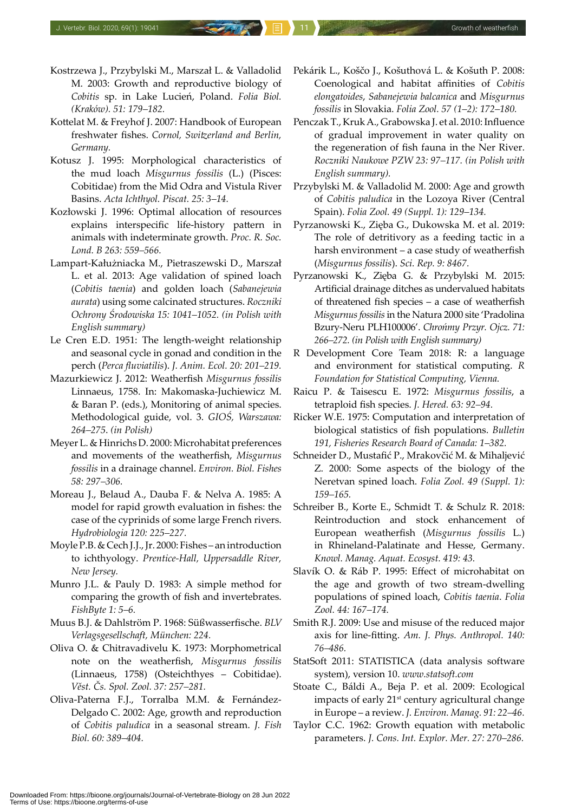- Kostrzewa J., Przybylski M., Marszał L. & Valladolid M. 2003: Growth and reproductive biology of *Cobitis* sp. in Lake Lucień, Poland. *Folia Biol. (Kraków). 51: 179–182.*
- Kottelat M. & Freyhof J. 2007: Handbook of European freshwater fishes. *Cornol, Switzerland and Berlin, Germany.*
- Kotusz J. 1995: Morphological characteristics of the mud loach *Misgurnus fossilis* (L.) (Pisces: Cobitidae) from the Mid Odra and Vistula River Basins. *Acta Ichthyol. Piscat. 25: 3–14.*
- Kozłowski J. 1996: Optimal allocation of resources explains interspecific life-history pattern in animals with indeterminate growth. *Proc. R. Soc. Lond. B 263: 559–566.*
- Lampart-Kałużniacka M., Pietraszewski D., Marszał L. et al. 2013: Age validation of spined loach (*Cobitis taenia*) and golden loach (*Sabanejewia aurata*) using some calcinated structures. *Roczniki Ochrony Środowiska 15: 1041–1052. (in Polish with English summary)*
- Le Cren E.D. 1951: The length-weight relationship and seasonal cycle in gonad and condition in the perch (*Perca fluviatilis*). *J. Anim. Ecol. 20: 201–219.*
- Mazurkiewicz J. 2012: Weatherfish *Misgurnus fossilis* Linnaeus, 1758. In: Makomaska-Juchiewicz M. & Baran P. (eds.), Monitoring of animal species. Methodological guide, vol. 3. *GIOŚ, Warszawa: 264–275*. *(in Polish)*
- Meyer L. & Hinrichs D. 2000: Microhabitat preferences and movements of the weatherfish, *Misgurnus fossilis* in a drainage channel. *Environ. Biol. Fishes 58: 297–306.*
- Moreau J., Belaud A., Dauba F. & Nelva A. 1985: A model for rapid growth evaluation in fishes: the case of the cyprinids of some large French rivers. *Hydrobiologia 120: 225–227.*
- Moyle P.B. & Cech J.J., Jr. 2000: Fishes an introduction to ichthyology. *Prentice-Hall, Uppersaddle River, New Jersey.*
- Munro J.L. & Pauly D. 1983: A simple method for comparing the growth of fish and invertebrates. *FishByte 1: 5–6.*
- Muus B.J. & Dahlström P. 1968: Süßwasserfische. *BLV Verlagsgesellschaft, München: 224.*
- Oliva O. & Chitravadivelu K. 1973: Morphometrical note on the weatherfish, *Misgurnus fossilis* (Linnaeus, 1758) (Osteichthyes – Cobitidae). *Věst. Čs. Spol. Zool. 37: 257–281.*
- Oliva-Paterna F.J., Torralba M.M. & Fernández-Delgado C. 2002: Age, growth and reproduction of *Cobitis paludica* in a seasonal stream. *J. Fish Biol. 60: 389–404.*
- Pekárik L., Koščo J., Košuthová L. & Košuth P. 2008: Coenological and habitat affinities of *Cobitis elongatoides*, *Sabanejewia balcanica* and *Misgurnus fossilis* in Slovakia. *Folia Zool. 57 (1–2): 172–180.*
- Penczak T., Kruk A., Grabowska J. et al. 2010: Influence of gradual improvement in water quality on the regeneration of fish fauna in the Ner River. *Roczniki Naukowe PZW 23: 97–117. (in Polish with English summary).*
- Przybylski M. & Valladolid M. 2000: Age and growth of *Cobitis paludica* in the Lozoya River (Central Spain). *Folia Zool. 49 (Suppl. 1): 129–134.*
- Pyrzanowski K., Zięba G., Dukowska M. et al. 2019: The role of detritivory as a feeding tactic in a harsh environment – a case study of weatherfish (*Misgurnus fossilis*). *Sci. Rep. 9: 8467.*
- Pyrzanowski K., Zięba G. & Przybylski M. 2015: Artificial drainage ditches as undervalued habitats of threatened fish species – a case of weatherfish *Misgurnus fossilis* in the Natura 2000 site 'Pradolina Bzury-Neru PLH100006'. *Chrońmy Przyr. Ojcz. 71: 266–272. (in Polish with English summary)*
- R Development Core Team 2018: R: a language and environment for statistical computing. *R Foundation for Statistical Computing, Vienna.*
- Raicu P. & Taisescu E. 1972: *Misgurnus fossilis*, a tetraploid fish species. *J. Hered. 63: 92–94.*
- Ricker W.E. 1975: Computation and interpretation of biological statistics of fish populations. *Bulletin 191, Fisheries Research Board of Canada: 1–382.*
- Schneider D., Mustafić P., Mrakovčić M. & Mihaljević Z. 2000: Some aspects of the biology of the Neretvan spined loach. *Folia Zool. 49 (Suppl. 1): 159–165.*
- Schreiber B., Korte E., Schmidt T. & Schulz R. 2018: Reintroduction and stock enhancement of European weatherfish (*Misgurnus fossilis* L.) in Rhineland-Palatinate and Hesse, Germany. *Knowl. Manag. Aquat. Ecosyst. 419: 43.*
- Slavík O. & Ráb P. 1995: Effect of microhabitat on the age and growth of two stream-dwelling populations of spined loach, *Cobitis taenia*. *Folia Zool. 44: 167–174.*
- Smith R.J. 2009: Use and misuse of the reduced major axis for line-fitting. *Am. J. Phys. Anthropol. 140: 76–486.*
- StatSoft 2011: STATISTICA (data analysis software system), version 10. *www.statsoft.com*
- Stoate C., Báldi A., Beja P. et al. 2009: Ecological impacts of early 21<sup>st</sup> century agricultural change in Europe – a review. *J. Environ. Manag. 91: 22–46.*
- Taylor C.C. 1962: Growth equation with metabolic parameters. *J. Cons. Int. Explor. Mer. 27: 270–286.*